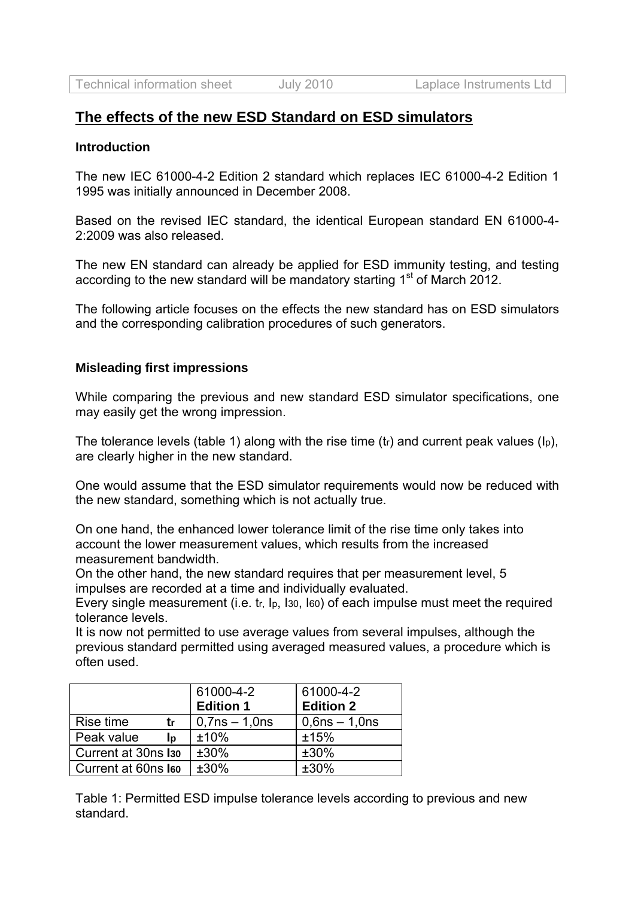# **The effects of the new ESD Standard on ESD simulators**

#### **Introduction**

The new IEC 61000-4-2 Edition 2 standard which replaces IEC 61000-4-2 Edition 1 1995 was initially announced in December 2008.

Based on the revised IEC standard, the identical European standard EN 61000-4- 2:2009 was also released.

The new EN standard can already be applied for ESD immunity testing, and testing according to the new standard will be mandatory starting 1<sup>st</sup> of March 2012.

The following article focuses on the effects the new standard has on ESD simulators and the corresponding calibration procedures of such generators.

#### **Misleading first impressions**

While comparing the previous and new standard ESD simulator specifications, one may easily get the wrong impression.

The tolerance levels (table 1) along with the rise time (tr) and current peak values (Ip), are clearly higher in the new standard.

One would assume that the ESD simulator requirements would now be reduced with the new standard, something which is not actually true.

On one hand, the enhanced lower tolerance limit of the rise time only takes into account the lower measurement values, which results from the increased measurement bandwidth.

On the other hand, the new standard requires that per measurement level, 5 impulses are recorded at a time and individually evaluated.

Every single measurement (i.e. tr. lp. 130, 160) of each impulse must meet the required tolerance levels.

It is now not permitted to use average values from several impulses, although the previous standard permitted using averaged measured values, a procedure which is often used.

|                                 | 61000-4-2          | 61000-4-2          |
|---------------------------------|--------------------|--------------------|
|                                 | <b>Edition 1</b>   | <b>Edition 2</b>   |
| Rise time<br>tr                 | $0,7$ ns $-1,0$ ns | $0,6$ ns $-1,0$ ns |
| Peak value<br>Ip                | ±10%               | ±15%               |
| Current at 30ns I <sub>30</sub> | $±30\%$            | $±30\%$            |
| Current at 60ns leo             | ±30%               | ±30%               |

Table 1: Permitted ESD impulse tolerance levels according to previous and new standard.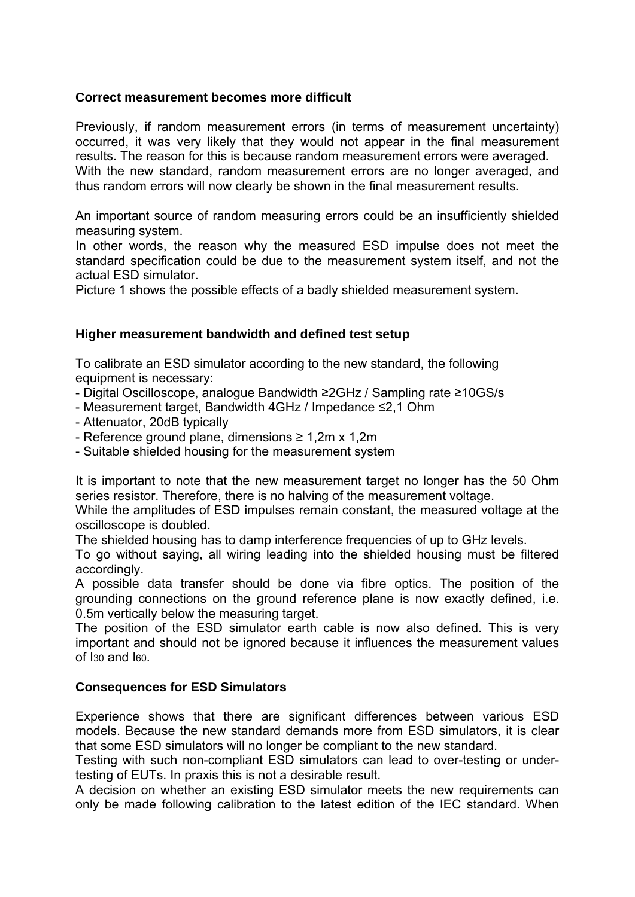## **Correct measurement becomes more difficult**

Previously, if random measurement errors (in terms of measurement uncertainty) occurred, it was very likely that they would not appear in the final measurement results. The reason for this is because random measurement errors were averaged. With the new standard, random measurement errors are no longer averaged, and thus random errors will now clearly be shown in the final measurement results.

An important source of random measuring errors could be an insufficiently shielded measuring system.

In other words, the reason why the measured ESD impulse does not meet the standard specification could be due to the measurement system itself, and not the actual ESD simulator.

Picture 1 shows the possible effects of a badly shielded measurement system.

## **Higher measurement bandwidth and defined test setup**

To calibrate an ESD simulator according to the new standard, the following equipment is necessary:

- Digital Oscilloscope, analogue Bandwidth ≥2GHz / Sampling rate ≥10GS/s
- Measurement target, Bandwidth 4GHz / Impedance ≤2,1 Ohm
- Attenuator, 20dB typically
- Reference ground plane, dimensions ≥ 1,2m x 1,2m
- Suitable shielded housing for the measurement system

It is important to note that the new measurement target no longer has the 50 Ohm series resistor. Therefore, there is no halving of the measurement voltage.

While the amplitudes of ESD impulses remain constant, the measured voltage at the oscilloscope is doubled.

The shielded housing has to damp interference frequencies of up to GHz levels.

To go without saying, all wiring leading into the shielded housing must be filtered accordingly.

A possible data transfer should be done via fibre optics. The position of the grounding connections on the ground reference plane is now exactly defined, i.e. 0.5m vertically below the measuring target.

The position of the ESD simulator earth cable is now also defined. This is very important and should not be ignored because it influences the measurement values of I30 and I60.

## **Consequences for ESD Simulators**

Experience shows that there are significant differences between various ESD models. Because the new standard demands more from ESD simulators, it is clear that some ESD simulators will no longer be compliant to the new standard.

Testing with such non-compliant ESD simulators can lead to over-testing or undertesting of EUTs. In praxis this is not a desirable result.

A decision on whether an existing ESD simulator meets the new requirements can only be made following calibration to the latest edition of the IEC standard. When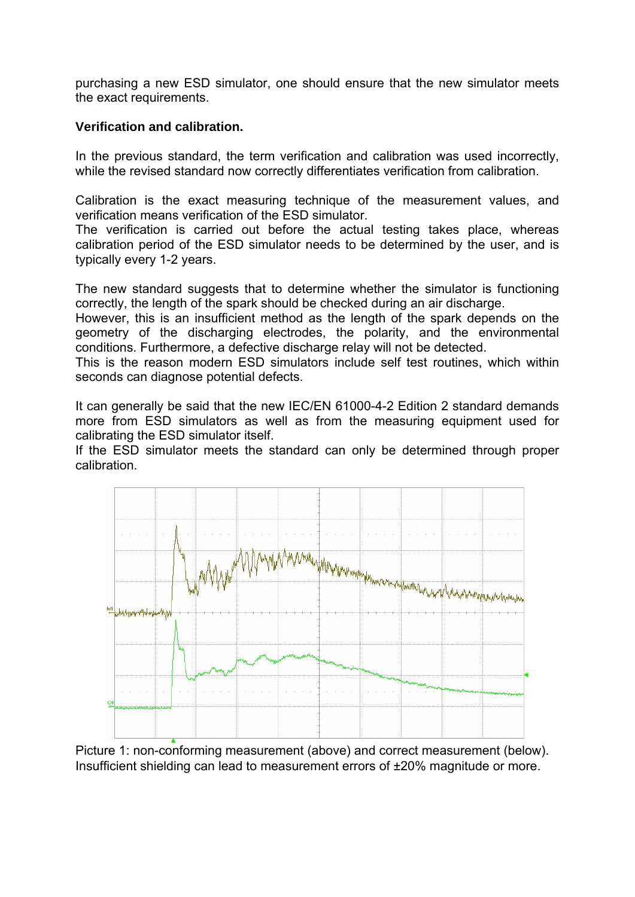purchasing a new ESD simulator, one should ensure that the new simulator meets the exact requirements.

# **Verification and calibration.**

In the previous standard, the term verification and calibration was used incorrectly, while the revised standard now correctly differentiates verification from calibration.

Calibration is the exact measuring technique of the measurement values, and verification means verification of the ESD simulator.

The verification is carried out before the actual testing takes place, whereas calibration period of the ESD simulator needs to be determined by the user, and is typically every 1-2 years.

The new standard suggests that to determine whether the simulator is functioning correctly, the length of the spark should be checked during an air discharge.

However, this is an insufficient method as the length of the spark depends on the geometry of the discharging electrodes, the polarity, and the environmental conditions. Furthermore, a defective discharge relay will not be detected.

This is the reason modern ESD simulators include self test routines, which within seconds can diagnose potential defects.

It can generally be said that the new IEC/EN 61000-4-2 Edition 2 standard demands more from ESD simulators as well as from the measuring equipment used for calibrating the ESD simulator itself.

If the ESD simulator meets the standard can only be determined through proper calibration.



Picture 1: non-conforming measurement (above) and correct measurement (below). Insufficient shielding can lead to measurement errors of ±20% magnitude or more.